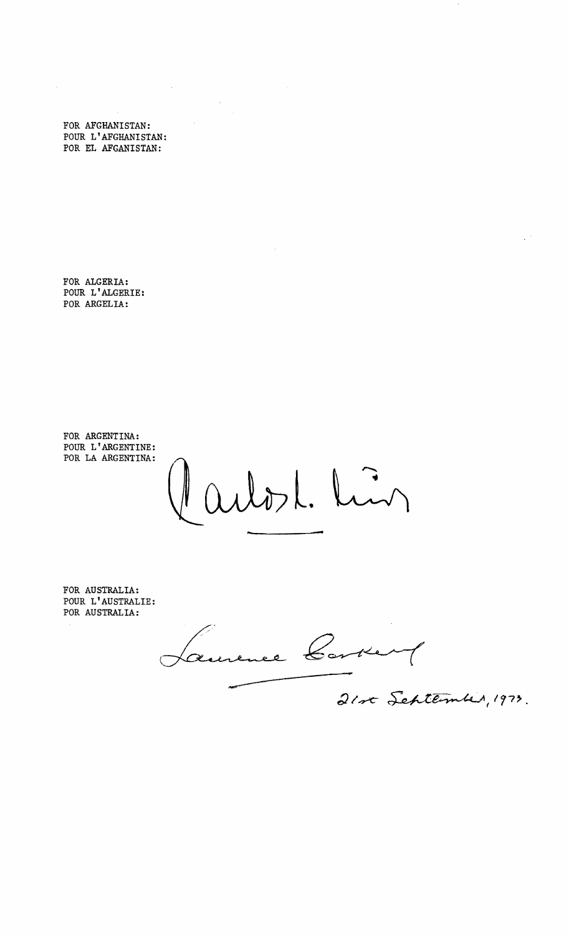FOR AFGHANISTAN: POUR L'AFGHANISTAN: POR EL AFGANISTAN:

 $\mathcal{L}_{\mathcal{A}}$ 

 $\sim$   $\sim$ 

 $\bar{\mathcal{A}}$ 

 $\hat{\mathcal{L}}$ 

FOR ALGERIA: POUR L'ALGERIE: POR ARGELIA:

FOR ARGENTINA: POUR L'ARGENTINE: POR LA ARGENTINA:

21. Lin **-**

FOR AUSTRALIA: POUR L'AUSTRALIE: POR AUSTRALIA:

Aurence Co

 $21$ rt Schtermber, 1973.

 $\frac{1}{2}$  ,  $\frac{1}{2}$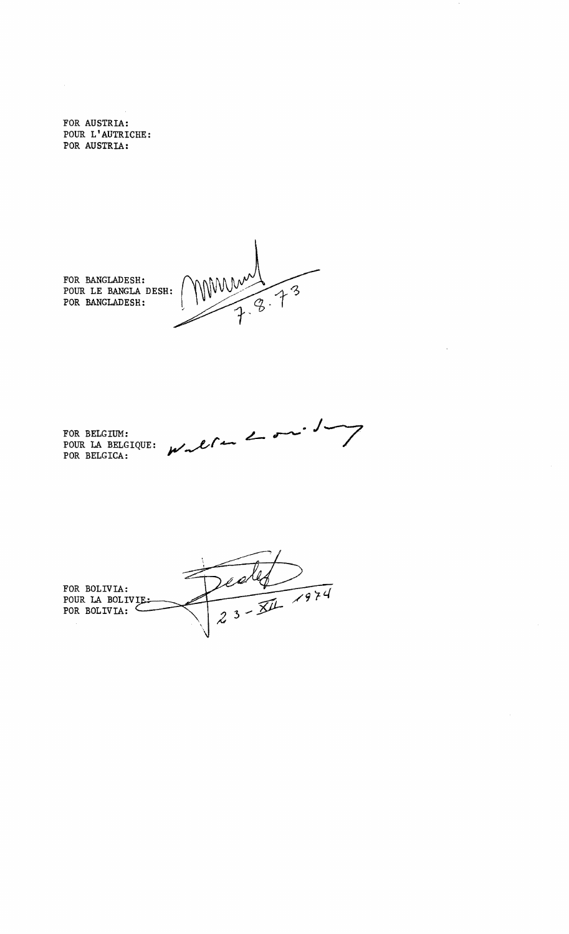FOR AUSTRIA: POUR L'AUTRICHE: POR AUSTRIA:

FOR BANGLADESH: POUR LE BANGLA DESH: POR BANGLADESH:

MMM  $73$ 

 $\boldsymbol{\mathcal{L}}$ 

FOR BELGIUM: POUR LA BELGIQUE: WNC POR BELGICA:

 $23 - 24$ FOR BOLIVIA: POUR LA BOLIVIE:<br>POR BOLIVIA: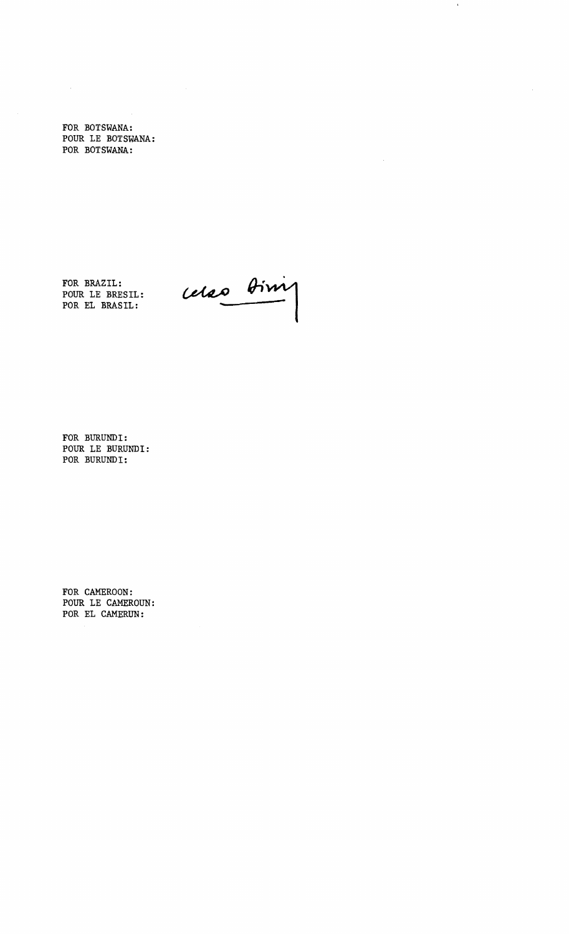FOR BOTSWANA: POUR LE BOTSWANA: POR BOTSWANA:

FOR BRAZIL:

POUR LE

POR EL BRASIL:

relao bim

 $\mathbf{v}$ 

 $\hat{\mathcal{L}}$ 

FOR BURUNDI: POUR LE BURUNDI: POR BURUNDI:

FOR CAMEROON: POUR LE CAMEROUN: POR EL CAMERUN: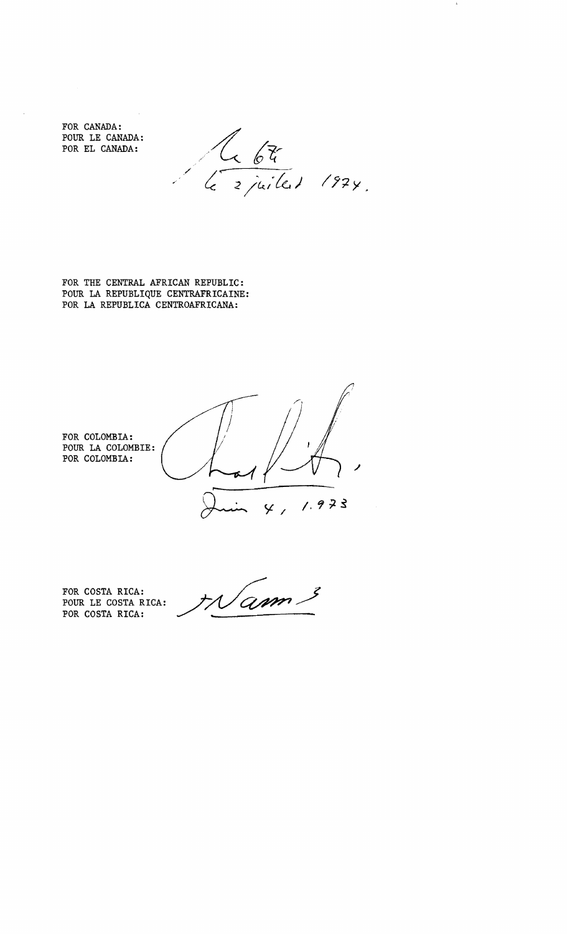FOR CANADA: POUR LE CANADA: POR EL CANADA:

 $\lambda$ 

Le 675

 $\pmb{\lambda}$ 

FOR THE CENTRAL AFRICAN REPUBLIC: POUR LA REPUBLIQUE CENTRAFRICAINE: POR LA REPUBLICA CENTROAFRICANA:



FOR COSTA RICA: POUR LE COSTA RICA:

POR COSTA RICA:

Mam.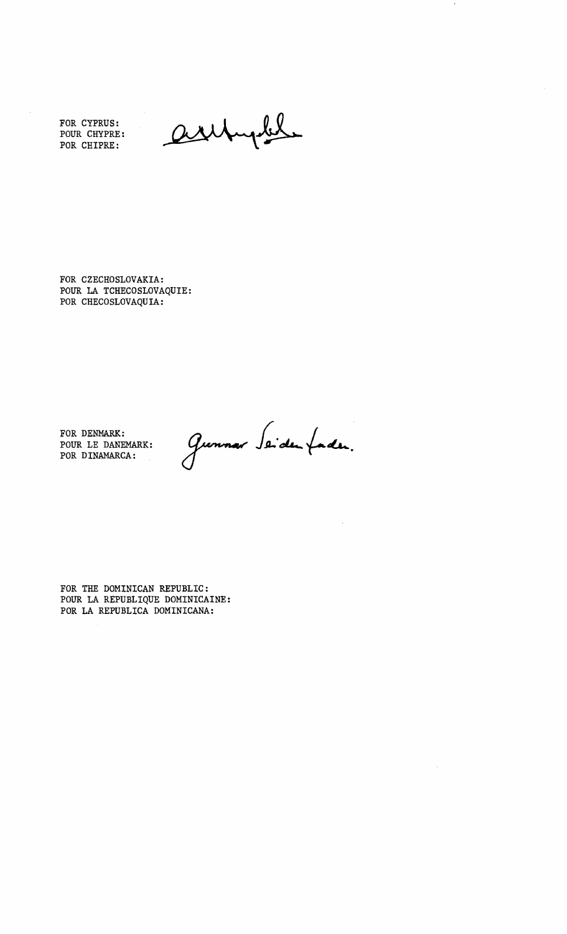FOR CYPRUS: POUR CRYPRE: POR CHIPRE:

arch

FOR CZECHOSLOVAKIA: POUR LA TCHECOSLOVAQUIE: POR CHECOSLOVAQUIA:

FOR DENMARK: POUR LE DANEMARK: POR DINAMARCA:  $\frac{1}{2}$ 

Gunnar Seidenfaden.

FOR THE DOMINICAN REPUBLIC: POUR LA REPUBLIQUE DOMINICAINE: POR LA REPUBLICA DOMINICANA: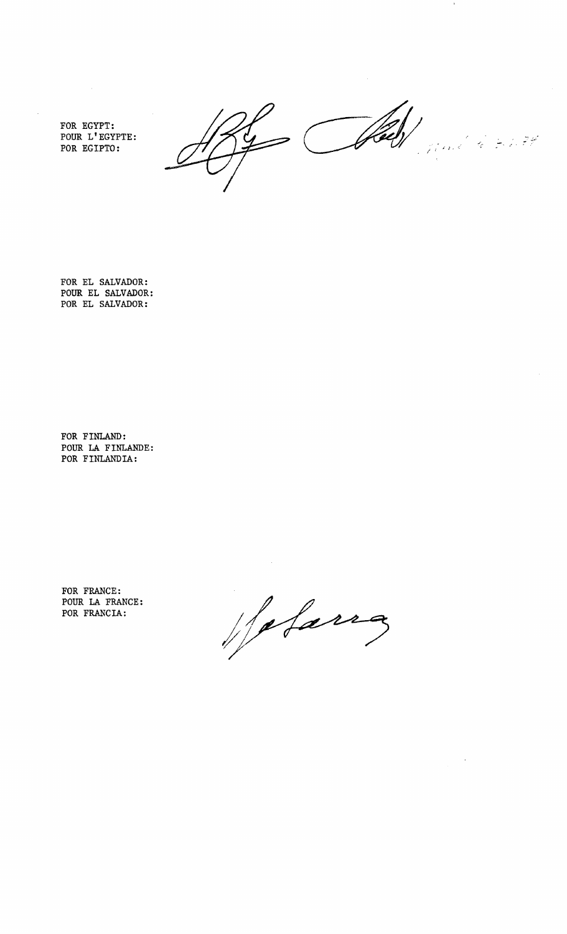FOR EGYPT: POUR L'EGYPTE: POR EGIPTO:

 $\bar{z}$ 

- Hell  $\vec{z} \in \mathbb{R}$ Ċ  $\Rightarrow$ .<br>Mari E

FOR EL SALVADOR: POUR EL SALVADOR: POR EL SALVADOR:

FOR FINLAND: POUR LA FINLANDE: POR FINLANDIA:

FOR FRANCE: POUR LA FRANCE: POR FRANCIA:

Holanz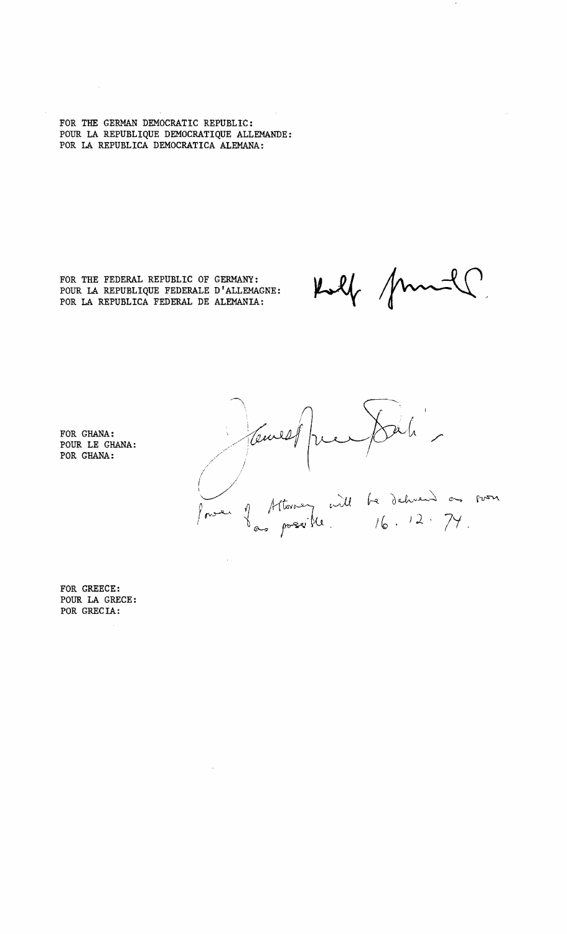FOR THE GERMAN DEMOCRATIC REPUBLIC: POUR LA REPUBLIQUE DEMOCRATIQUE ALLEMANDE: POR LA REPUBLICA DEMOCRATICA ALEMANA:

FOR THE FEDERAL REPUBLIC OF GERMANY: POUR LA REPUBLIQUE FEDERALE D'ALLEMAGNE: POR LA REPUBLICA FEDERAL DE ALEMANIA:

 $\mathcal{A}_\mathrm{c}$ 

 $\mu\ell$ 

FOR GHANA: POUR LE GHANA: POR GHANA:

 $24h$ Cemes be dehuend as soon  $16.12 \cdot 74.$ 

FOR GREECE: POUR LA GRECE: POR GRECIA: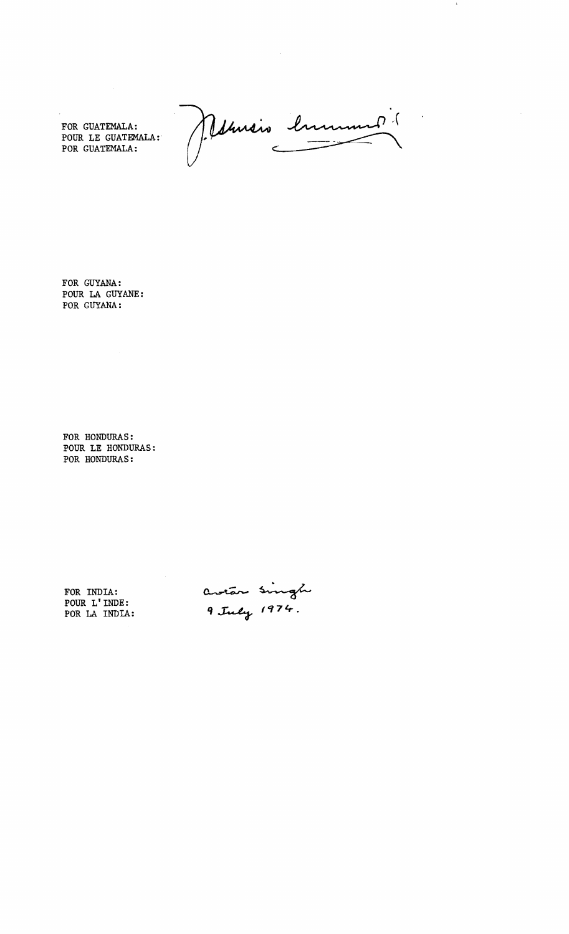FOR GUATEMALA:<br>POUR LE GUATEMALA: POR GUATEMALA:

Mensio lument

 $\ddot{\phantom{0}}$ 

FOR GUYANA: POUR LA GUYANE: POR GUYANA:

FOR HONDURAS: POUR LE HONDURAS: POR HONDURAS:

FOR INDIA: POUR L' INDE: POR LA INDIA:

avian singh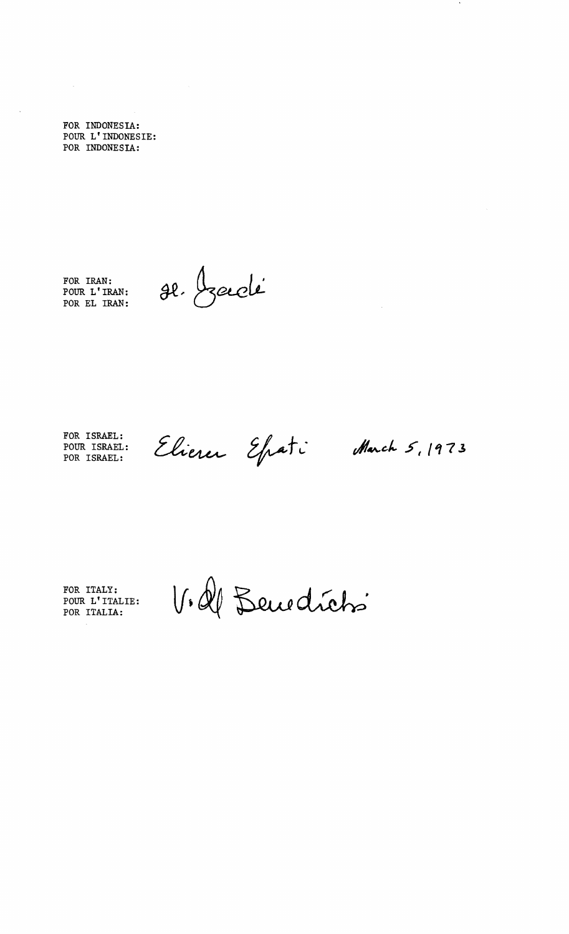FOR INDONESIA: POUR L' INDONESIE: POR INDONESIA:

 $\frac{1}{2}$ 

 $\mathcal{A}$ 

FOR IRAN: POUR L' IRAN: POR EL IRAN:

se bouclé

FOR ISRAEL: POUR ISRAEL: POR ISRAEL:

March 5, 1973

 $\bullet$ 

FOR ITALY: POUR L'ITALIE: POR ITALIA:

V. Il Benedicts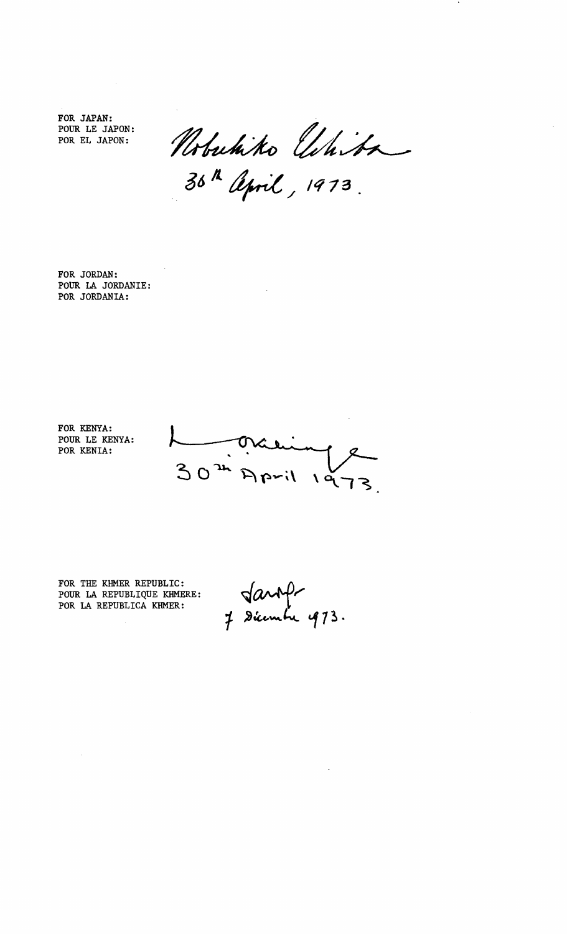FOR JAPAN: POUR LE JAPON: POR EL JAPON:

Nobuhiko *Uhiba*<br>3<sup>6 h</sup> April, 1973.

FOR JORDAN: POUR lA JORDANIE: POR JORDANIA:

FOR KENYA: POUR LE KENYA: POR KENIA:

 $30<sup>24</sup>$  $i$  $\sqrt{q}$ 

FOR THE KHMER REPUBLIC: POUR lA REPUBLIQUE KHMERE: POR lA REPUBLICA KHMER:

Jaroft<br>J Dicembre 473.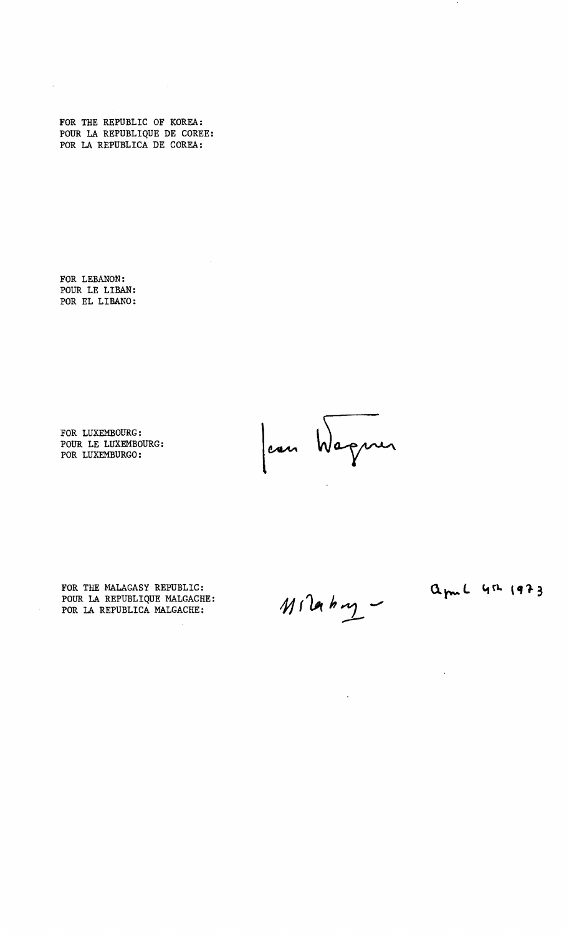FOR THE REPUBLIC OF KOREA: POUR LA REPUBLIQUE DE COREE: POR LA REPUBLICA DE COREA:

 $\mathcal{L}^{\text{max}}_{\text{max}}$ 

 $\mathcal{A}$ 

FOR LEBANON: POUR LE LIBAN: POR EL LIBANO:

 $\mathcal{L}^{\mathcal{L}}$ 

FOR LUXEMBOURG: POUR LE LUXEMBOURG: POR LUXEMBURGO:

Jean Wagner

 $M12a$   $hq$ 

 $\sim 10^{-10}$ 

FOR THE MALAGASY REPUBLIC: POUR LA REPUBLIQUE MALGACHE: POR LA REPUBLICA MALGACHE;

april 4th 1973

 $\sim$ 

 $\bullet$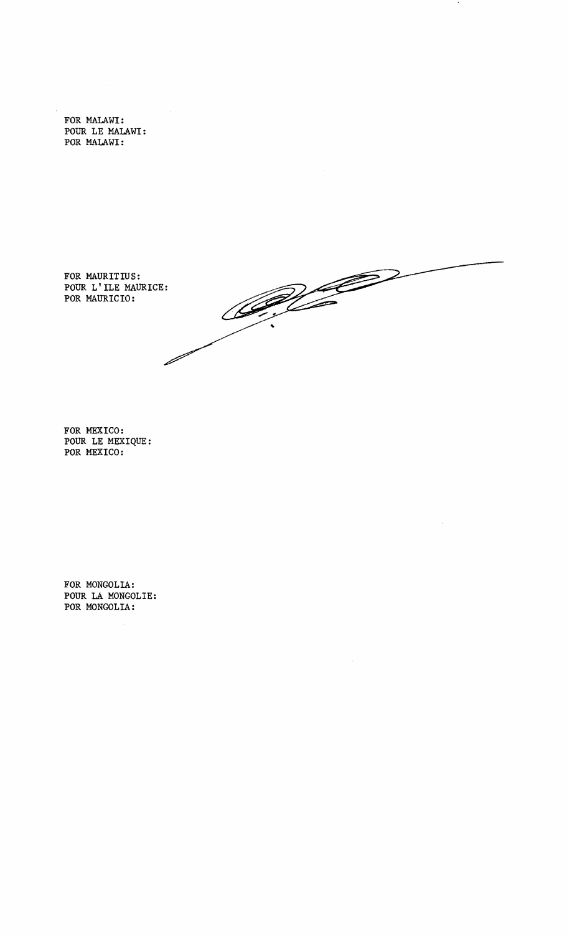FOR MALAWI: POUR LE MALAWI: POR MALAWI:

FOR MAURITIUS: POUR L'ILE MAURICE: POR MAURICIO:

al Company G D

 $\bullet$ 

FOR MEXICO: POUR LE MEXIQUE: POR MEXICO:

FOR MONGOLIA: POUR LA MONGOLIE: POR MONGOLIA: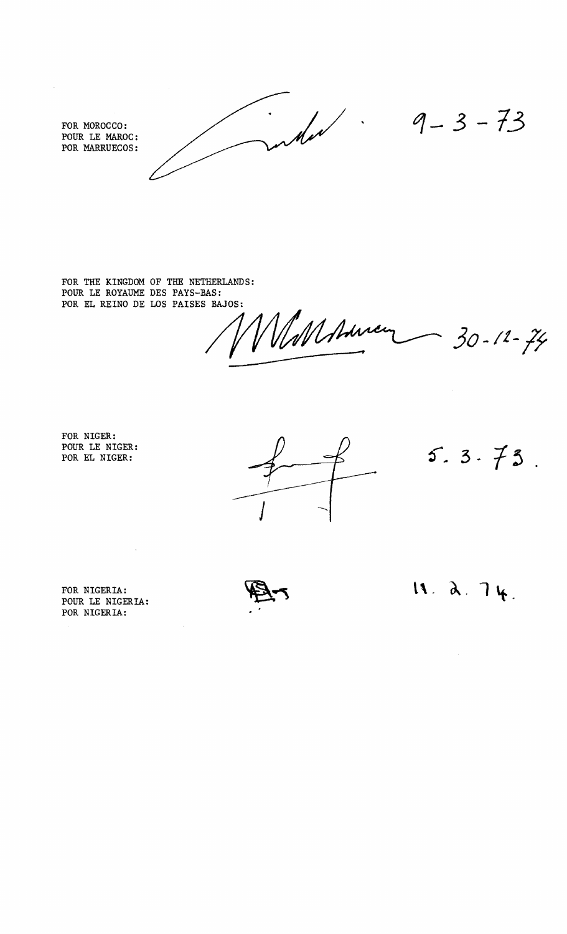FOR MOROCCO:<br>POUR LE MAROC:<br>POUR LE MAROC:

POUR LE MAROC: POR MARRUECOS:

 $\hat{\mathcal{L}}$ 

FOR THE KINGDOM OF THE NETHERLANDS: POUR LE ROYAUME DES PAYS-BAS: POR EL REINO DE LOS PAISES BAJOS:

*30-***lf***-1f* 

FOR NIGER: POUR LE NIGER: POR EL NIGER:

 $5.3.73$ .

 $\hat{\mathcal{A}}$ 

POUR LE NIGERIA: POR NIGERIA:

 $\sim$ 

FOR NIGERIA:  $\mathbb{R} \rightarrow$  **11.**  $\lambda$ . 7 $\mu$ .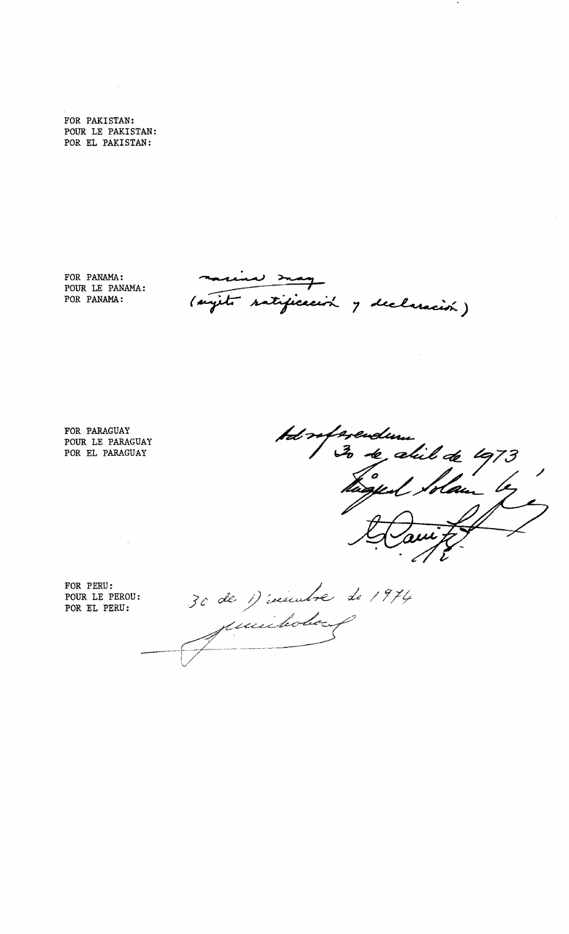FOR PAKISTAN: POUR LE PAKISTAN: POR EL PAKISTAN:

 $\mathcal{A}$ 

FOR PANAMA: POUR LE PANAMA: POR PANAMA:

(sujeté ratificación y declaración)

FOR PARAGUAY POUR LE PARAGUAY POR EL PARAGUAY



FOR PERU: POUR LE PEROU: POR EL PERU:

30 de 1) insurant de 1974 muichobo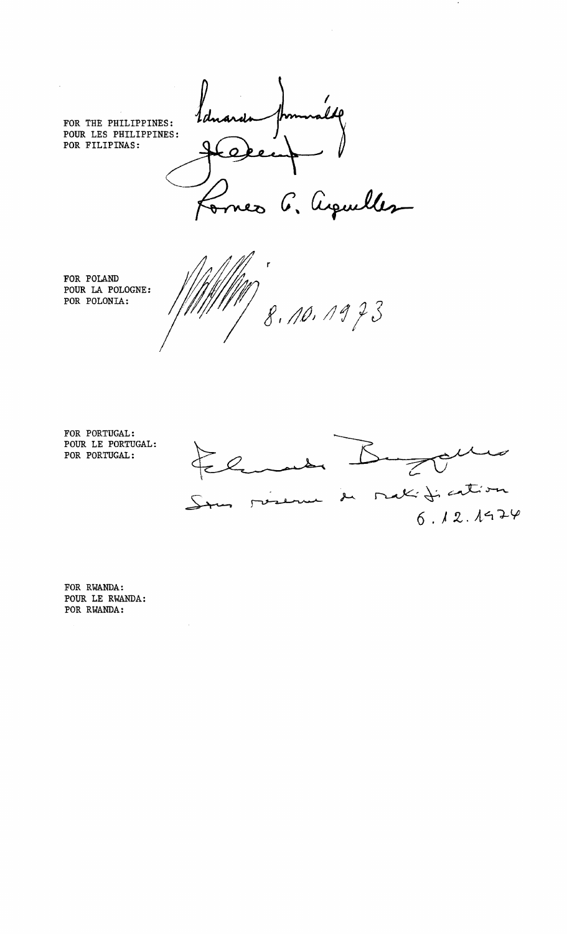FOR THE PHILIPPINES: POUR LES PHILIPPINES: POR FILIPINAS:

 $\mathcal{L}$ 

 $\overline{\mathcal{L}}$  $\overline{\mathcal{L}}$ aquelles

FOR POLAND POUR LA POLOGNE: POR POLONIA:

8.10.1973

FOR PORTUGAL: POUR LE PORTUGAL: POR PORTUGAL:



FOR RWANDA: POUR LE RWANDA: POR RWANDA:

 $\mathcal{L}$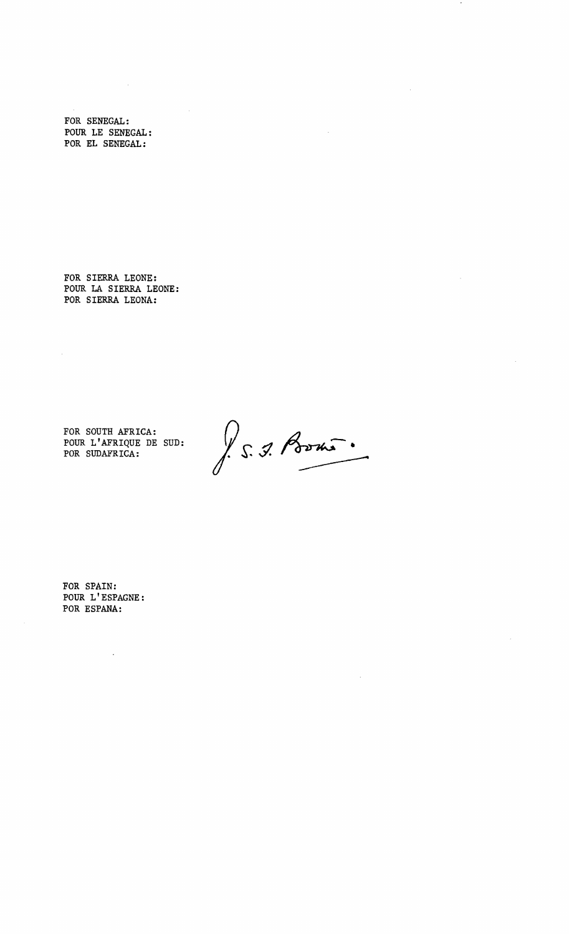FOR SENEGAL: POUR LE SENEGAL: POR EL SENEGAL:

 $\sim 10^7$ 

 $\bar{\mathcal{A}}$ 

FOR SIERRA LEONE: POUR LA SIERRA LEONE: POR SIERRA LEONA:

FOR SOUTH AFRICA: POUR L'AFRIQUE DE SUD: POR SUDAFRICA:

S. J. Porni.

 $\mathcal{A}_\mathrm{a}$ 

 $\ddot{\phantom{1}}$ 

 $\hat{\boldsymbol{\beta}}$ 

 $\bar{\mathcal{A}}$ 

 $\bar{\bar{z}}$ 

FOR SPAIN: POUR L'ESPAGNE: POR ESPANA:

 $\ddot{\phantom{a}}$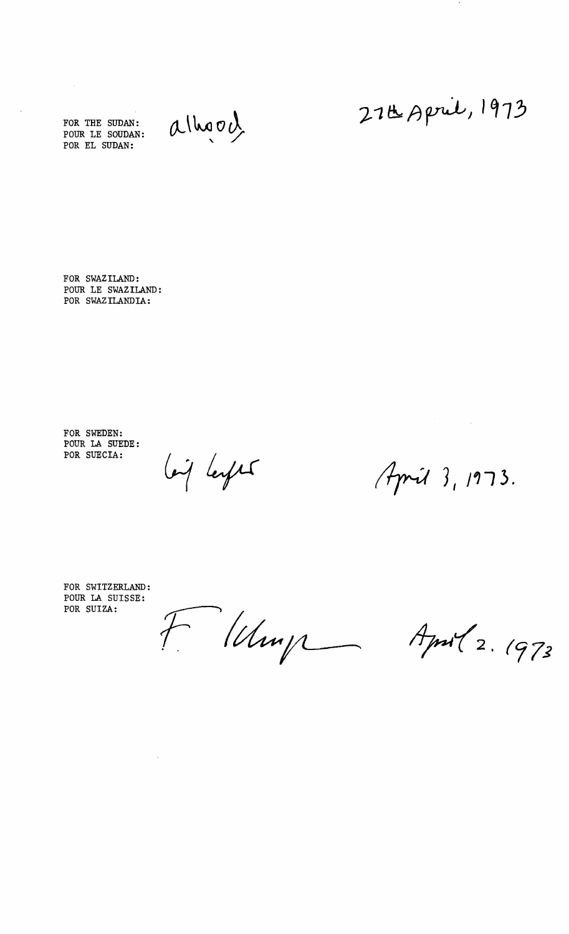FOR THE SUDAN: POUR LE SOUDAN: POR EL SUDAN:

 $\mathcal{L}_{\text{eff}}$ 

 $\bar{z}$ 

alhood

27B April, 1973

 $\bullet$ 

FOR SWAZILAND: POUR LE SWAZILAND: POR SWAZILANDIA:

FOR SWEDEN: POUR LA SUEDE: POR SUECIA:

lois leages

 $A$ pril 3, 1973.

 $\label{eq:2.1} \frac{1}{\sqrt{2\pi}}\sum_{i=1}^n\frac{1}{\sqrt{2\pi}}\sum_{i=1}^n\frac{1}{\sqrt{2\pi}}\sum_{i=1}^n\frac{1}{\sqrt{2\pi}}\sum_{i=1}^n\frac{1}{\sqrt{2\pi}}\sum_{i=1}^n\frac{1}{\sqrt{2\pi}}\sum_{i=1}^n\frac{1}{\sqrt{2\pi}}\sum_{i=1}^n\frac{1}{\sqrt{2\pi}}\sum_{i=1}^n\frac{1}{\sqrt{2\pi}}\sum_{i=1}^n\frac{1}{\sqrt{2\pi}}\sum_{i=1}^n\$ 

FOR SWITZERLAND: POUR LA SUISSE: POR SUIZA:

 $\mathcal{L}(\mathcal{L}^{\text{max}})$  and  $\mathcal{L}(\mathcal{L}^{\text{max}})$ 

Flamp

April 2. 1973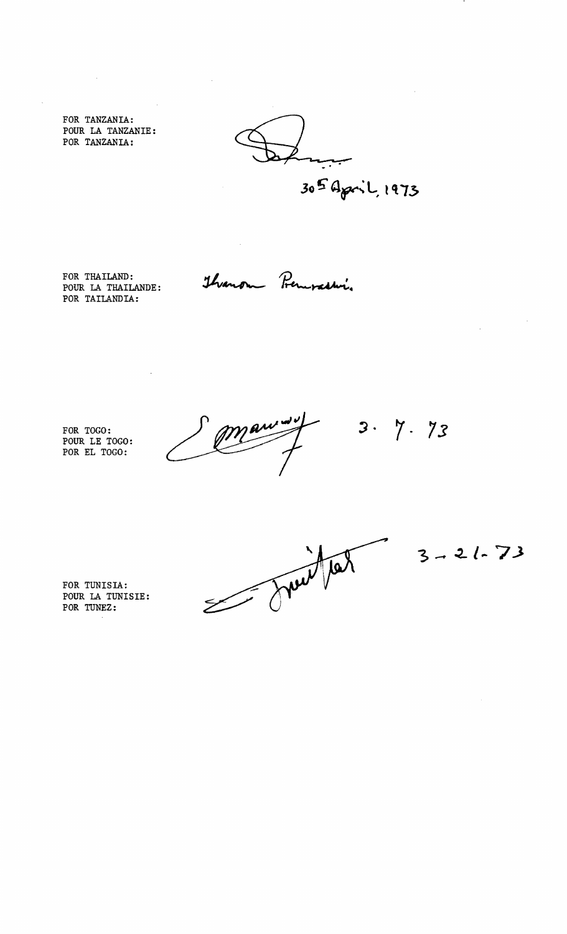FOR TANZANIA: POUR LA TANZANIE: POR TANZANIA:

305 April, 1973

FOR THAILAND: POUR LA THAILANDE: POR TAILANDIA:

 $\bar{z}$ 

Thranon Premoastin.

 $\hat{\mathcal{L}}$ 

 $\bar{\mathcal{A}}$ 

FOR TOGO: POUR LE TOGO: POR EL TOGO:

 $3.7.73$ 

FOR TUNISIA: POUR LA TUNISIE: POR TUNEZ;

Suitet

 $3 - 21 - 73$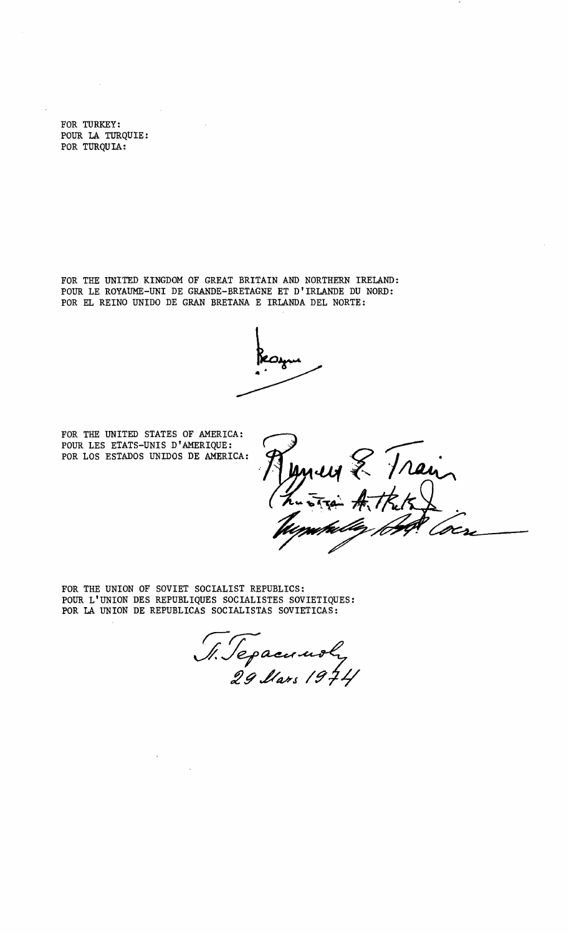FOR TURKEY: POUR LA TURQUIE: POR TURQUIA:

FOR THE UNITED KINGDOM OF GREAT BRITAIN AND NORTHERN IRELAND: POUR LE ROYAUME-UNI DE GRANDE-BRETAGNE ET D'IRLANDE DU NORD: POR EL REINO UNIDO DE GRAN BRETANA E IRLANDA DEL NORTE:

FOR THE UNITED STATES OF AMERICA: POUR LES ETATS-UNIS D'AMERIQUE: POR LOS ESTADOS UNIDOS DE AMERICA:

new & Train

FOR THE UNION OF SOVIET SOCIALIST REPUBLICS: POUR L'UNION DES REPUBLIQUES SOCIALISTES SOVIETIQUES: POR LA UNION DE REPUBLICAS SOCIALISTAS SOVIETICAS:

S. Sepacunoly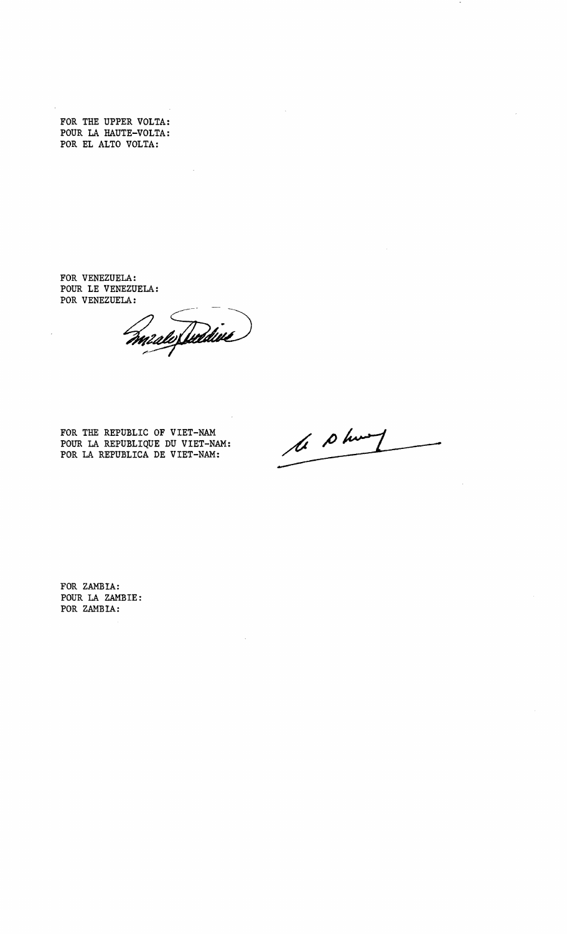FOR THE UPPER VOLTA: POUR LA HAUTE-VOLTA: POR EL ALTO VOLTA:

 $\overline{\phantom{a}}$ 

FOR VENEZUELA: POUR LE VENEZUELA: POR VENEZUELA:

mento fuddive)

FOR THE REPUBLIC OF VIET-NAM POUR LA REPUBLIQUE DU VIET-NAM: POR LA REPUBLICA DE VIET-NAM:

le plus

FOR ZAMBIA: POUR LA ZAMBIE: POR ZAMBIA: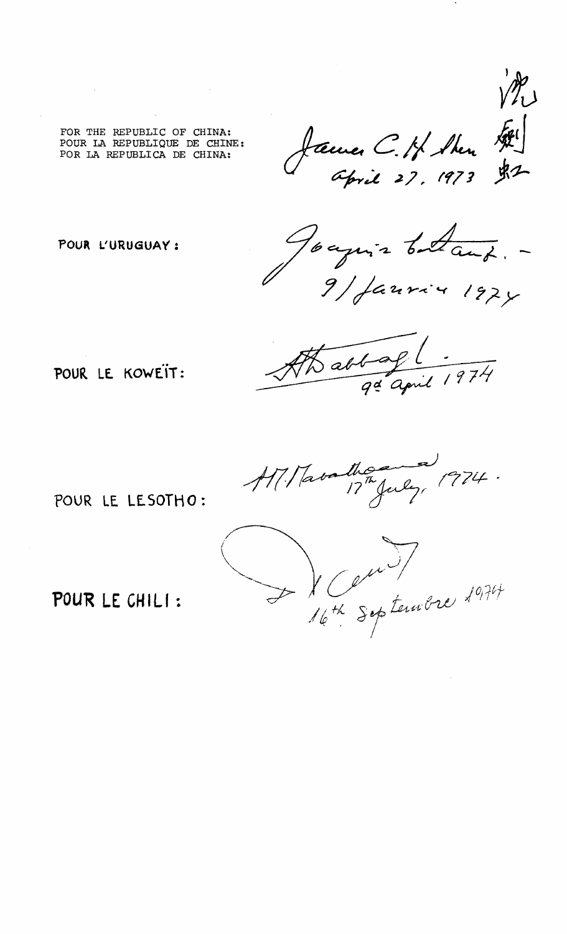

FOR THE REPUBLIC OF CHINA: POUR LA REPUBLIQUE DE CHINE: POR LA REPUBLICA DE CHINA:

POUR L'URUGUAY :

Toaquis batant. -

 $\frac{a+4}{a}$ 

POUR LE KOWEIT:

thousand 1974.

POUR LE LESOTHO :



POUR LE CHILI :